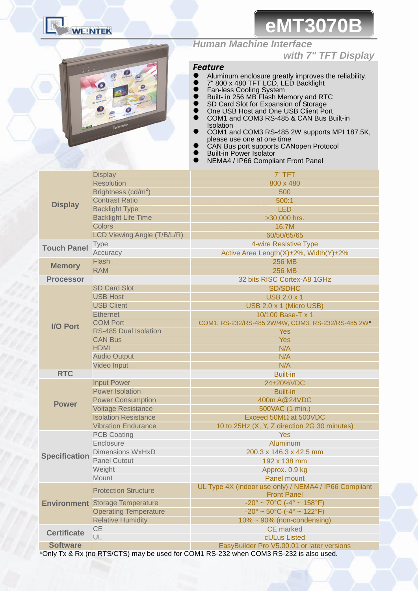

# **eMT3070B**



## *Human Machine Interface*

### *with 7" TFT Display*

### *Feature*

- Aluminum enclosure greatly improves the reliability.
- 7" 800 x 480 TFT LCD, LED Backlight
- **•** Fan-less Cooling System
- Built- in 256 MB Flash Memory and RTC
- **SD Card Slot for Expansion of Storage**
- **•** One USB Host and One USB Client Port COM1 and COM3 RS-485 & CAN Bus Built-in Isolation
- COM1 and COM3 RS-485 2W supports MPI 187.5K, please use one at one time
- **•** CAN Bus port supports CANopen Protocol
- **•** Built-in Power Isolator
- NEMA4 / IP66 Compliant Front Panel

|                      | <b>Display</b>                         | 7" TFT                                                                      |  |  |
|----------------------|----------------------------------------|-----------------------------------------------------------------------------|--|--|
| <b>Display</b>       | <b>Resolution</b>                      | 800 x 480                                                                   |  |  |
|                      | Brightness (cd/m <sup>2</sup> )        | 500                                                                         |  |  |
|                      | <b>Contrast Ratio</b>                  | 500:1                                                                       |  |  |
|                      | <b>Backlight Type</b>                  | <b>LED</b>                                                                  |  |  |
|                      | <b>Backlight Life Time</b>             | >30,000 hrs.                                                                |  |  |
|                      | <b>Colors</b>                          | 16.7M                                                                       |  |  |
| <b>Touch Panel</b>   | LCD Viewing Angle (T/B/L/R)            | 60/50/65/65                                                                 |  |  |
|                      | <b>Type</b>                            | 4-wire Resistive Type                                                       |  |  |
|                      | Accuracy                               | Active Area Length(X)±2%, Width(Y)±2%                                       |  |  |
| <b>Memory</b>        | Flash                                  | <b>256 MB</b>                                                               |  |  |
|                      | <b>RAM</b>                             | <b>256 MB</b>                                                               |  |  |
| <b>Processor</b>     |                                        | 32 bits RISC Cortex-A8 1GHz                                                 |  |  |
|                      | <b>SD Card Slot</b>                    | <b>SD/SDHC</b>                                                              |  |  |
|                      | <b>USB Host</b>                        | <b>USB 2.0 x 1</b>                                                          |  |  |
|                      | <b>USB Client</b>                      | USB 2.0 x 1 (Micro USB)                                                     |  |  |
|                      | <b>Ethernet</b>                        | 10/100 Base-T x 1                                                           |  |  |
| <b>I/O Port</b>      | <b>COM Port</b>                        | COM1: RS-232/RS-485 2W/4W, COM3: RS-232/RS-485 2W*                          |  |  |
|                      | RS-485 Dual Isolation                  | <b>Yes</b>                                                                  |  |  |
|                      | <b>CAN Bus</b>                         | <b>Yes</b>                                                                  |  |  |
|                      | <b>HDMI</b>                            | N/A                                                                         |  |  |
|                      | <b>Audio Output</b>                    | N/A                                                                         |  |  |
|                      | Video Input                            | N/A                                                                         |  |  |
| <b>RTC</b>           |                                        | <b>Built-in</b>                                                             |  |  |
|                      | <b>Input Power</b>                     | 24±20%VDC                                                                   |  |  |
|                      | <b>Power Isolation</b>                 | <b>Built-in</b>                                                             |  |  |
| <b>Power</b>         | <b>Power Consumption</b>               | 400m A@24VDC                                                                |  |  |
|                      | <b>Voltage Resistance</b>              | 500VAC (1 min.)                                                             |  |  |
|                      | <b>Isolation Resistance</b>            | Exceed 50MΩ at 500VDC                                                       |  |  |
|                      | <b>Vibration Endurance</b>             | 10 to 25Hz (X, Y, Z direction 2G 30 minutes)                                |  |  |
|                      | <b>PCB Coating</b>                     | <b>Yes</b>                                                                  |  |  |
|                      | Enclosure                              | Aluminum                                                                    |  |  |
| <b>Specification</b> | <b>Dimensions WxHxD</b>                | 200.3 x 146.3 x 42.5 mm                                                     |  |  |
|                      | <b>Panel Cutout</b>                    | 192 x 138 mm                                                                |  |  |
|                      | Weight                                 | Approx. 0.9 kg                                                              |  |  |
|                      | Mount                                  | Panel mount                                                                 |  |  |
|                      | <b>Protection Structure</b>            | UL Type 4X (indoor use only) / NEMA4 / IP66 Compliant<br><b>Front Panel</b> |  |  |
|                      | <b>Environment</b> Storage Temperature | $-20^{\circ} \sim 70^{\circ}$ C ( $-4^{\circ} \sim 158^{\circ}$ F)          |  |  |
|                      | <b>Operating Temperature</b>           | $-20^{\circ} \sim 50^{\circ}$ C (-4° ~ 122°F)                               |  |  |
|                      | <b>Relative Humidity</b>               | $10\% \sim 90\%$ (non-condensing)                                           |  |  |
| <b>Certificate</b>   | <b>CE</b>                              | <b>CE</b> marked                                                            |  |  |
|                      | UL                                     | cULus Listed                                                                |  |  |
| <b>Software</b>      |                                        | EasyBuilder Pro V5.00.01 or later versions                                  |  |  |

\*Only Tx & Rx (no RTS/CTS) may be used for COM1 RS-232 when COM3 RS-232 is also used.